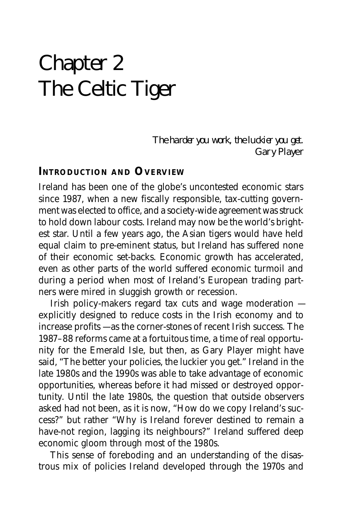# Chapter 2 The Celtic Tiger

The harder you work, the luckier you get. Gary Player

#### **INTRODUCTION AND OVERVIEW**

Ireland has been one of the globe's uncontested economic stars since 1987, when a new fiscally responsible, tax-cutting government was elected to office, and a society-wide agreement was struck to hold down labour costs. Ireland may now be the world's brightest star. Until a few years ago, the Asian tigers would have held equal claim to pre-eminent status, but Ireland has suffered none of their economic set-backs. Economic growth has accelerated, even as other parts of the world suffered economic turmoil and during a period when most of Ireland's European trading partners were mired in sluggish growth or recession.

Irish policy-makers regard tax cuts and wage moderation explicitly designed to reduce costs in the Irish economy and to increase profits — as the corner-stones of recent Irish success. The 1987–88 reforms came at a fortuitous time, a time of real opportunity for the Emerald Isle, but then, as Gary Player might have said, "The better your policies, the luckier you get." Ireland in the late 1980s and the 1990s was able to take advantage of economic opportunities, whereas before it had missed or destroyed opportunity. Until the late 1980s, the question that outside observers asked had not been, as it is now, "How do we copy Ireland's success?" but rather "Why is Ireland forever destined to remain a have-not region, lagging its neighbours?" Ireland suffered deep economic gloom through most of the 1980s.

This sense of foreboding and an understanding of the disastrous mix of policies Ireland developed through the 1970s and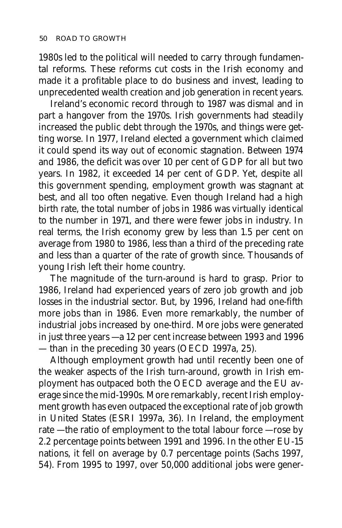1980s led to the political will needed to carry through fundamental reforms. These reforms cut costs in the Irish economy and made it a profitable place to do business and invest, leading to unprecedented wealth creation and job generation in recent years.

Ireland's economic record through to 1987 was dismal and in part a hangover from the 1970s. Irish governments had steadily increased the public debt through the 1970s, and things were getting worse. In 1977, Ireland elected a government which claimed it could spend its way out of economic stagnation. Between 1974 and 1986, the deficit was over 10 per cent of GDP for all but two years. In 1982, it exceeded 14 per cent of GDP. Yet, despite all this government spending, employment growth was stagnant at best, and all too often negative. Even though Ireland had a high birth rate, the total number of jobs in 1986 was virtually identical to the number in 1971, and there were fewer jobs in industry. In real terms, the Irish economy grew by less than 1.5 per cent on average from 1980 to 1986, less than a third of the preceding rate and less than a quarter of the rate of growth since. Thousands of young Irish left their home country.

The magnitude of the turn-around is hard to grasp. Prior to 1986, Ireland had experienced years of zero job growth and job losses in the industrial sector. But, by 1996, Ireland had one-fifth more jobs than in 1986. Even more remarkably, the number of industrial jobs increased by one-third. More jobs were generated in just three years — a 12 per cent increase between 1993 and 1996 — than in the preceding 30 years (OECD 1997a, 25).

Although employment growth had until recently been one of the weaker aspects of the Irish turn-around, growth in Irish employment has outpaced both the OECD average and the EU average since the mid-1990s. More remarkably, recent Irish employment growth has even outpaced the exceptional rate of job growth in United States (ESRI 1997a, 36). In Ireland, the employment rate — the ratio of employment to the total labour force — rose by 2.2 percentage points between 1991 and 1996. In the other EU-15 nations, it fell on average by 0.7 percentage points (Sachs 1997, 54). From 1995 to 1997, over 50,000 additional jobs were gener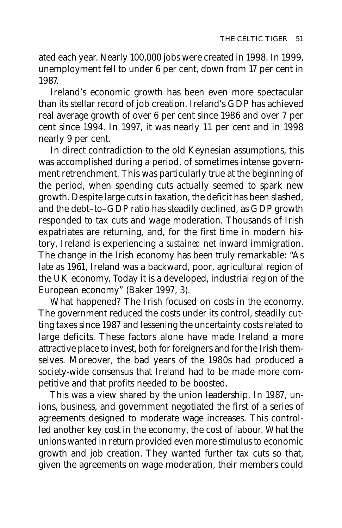ated each year. Nearly 100,000 jobs were created in 1998. In 1999, unemployment fell to under 6 per cent, down from 17 per cent in 1987.

Ireland's economic growth has been even more spectacular than its stellar record of job creation. Ireland's GDP has achieved real average growth of over 6 per cent since 1986 and over 7 per cent since 1994. In 1997, it was nearly 11 per cent and in 1998 nearly 9 per cent.

In direct contradiction to the old Keynesian assumptions, this was accomplished during a period, of sometimes intense government retrenchment. This was particularly true at the beginning of the period, when spending cuts actually seemed to spark new growth. Despite large cuts in taxation, the deficit has been slashed, and the debt–to–GDP ratio has steadily declined, as GDP growth responded to tax cuts and wage moderation. Thousands of Irish expatriates are returning, and, for the first time in modern history, Ireland is experiencing a *sustained* net inward immigration. The change in the Irish economy has been truly remarkable: "As late as 1961, Ireland was a backward, poor, agricultural region of the UK economy. Today it is a developed, industrial region of the European economy" (Baker 1997, 3).

What happened? The Irish focused on costs in the economy. The government reduced the costs under its control, steadily cutting taxes since 1987 and lessening the uncertainty costs related to large deficits. These factors alone have made Ireland a more attractive place to invest, both for foreigners and for the Irish themselves. Moreover, the bad years of the 1980s had produced a society-wide consensus that Ireland had to be made more competitive and that profits needed to be boosted.

This was a view shared by the union leadership. In 1987, unions, business, and government negotiated the first of a series of agreements designed to moderate wage increases. This controlled another key cost in the economy, the cost of labour. What the unions wanted in return provided even more stimulus to economic growth and job creation. They wanted further tax cuts so that, given the agreements on wage moderation, their members could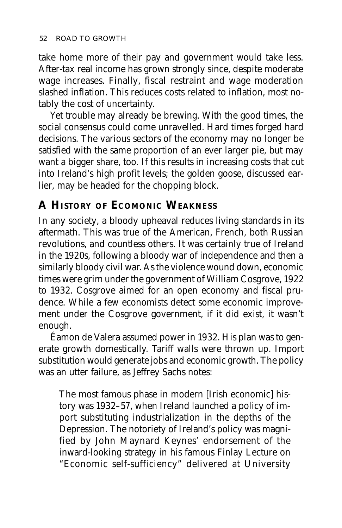take home more of their pay and government would take less. After-tax real income has grown strongly since, despite moderate wage increases. Finally, fiscal restraint and wage moderation slashed inflation. This reduces costs related to inflation, most notably the cost of uncertainty.

Yet trouble may already be brewing. With the good times, the social consensus could come unravelled. Hard times forged hard decisions. The various sectors of the economy may no longer be satisfied with the same proportion of an ever larger pie, but may want a bigger share, too. If this results in increasing costs that cut into Ireland's high profit levels; the golden goose, discussed earlier, may be headed for the chopping block.

# **A HISTORY OF ECOMONIC WEAKNESS**

In any society, a bloody upheaval reduces living standards in its aftermath. This was true of the American, French, both Russian revolutions, and countless others. It was certainly true of Ireland in the 1920s, following a bloody war of independence and then a similarly bloody civil war. As the violence wound down, economic times were grim under the government of William Cosgrove, 1922 to 1932. Cosgrove aimed for an open economy and fiscal prudence. While a few economists detect some economic improvement under the Cosgrove government, if it did exist, it wasn't enough.

Éamon de Valera assumed power in 1932. His plan was to generate growth domestically. Tariff walls were thrown up. Import substitution would generate jobs and economic growth. The policy was an utter failure, as Jeffrey Sachs notes:

The most famous phase in modern [Irish economic] history was 1932–57, when Ireland launched a policy of import substituting industrialization in the depths of the Depression. The notoriety of Ireland's policy was magnified by John Maynard Keynes' endorsement of the inward-looking strategy in his famous Finlay Lecture on "Economic self-sufficiency" delivered at University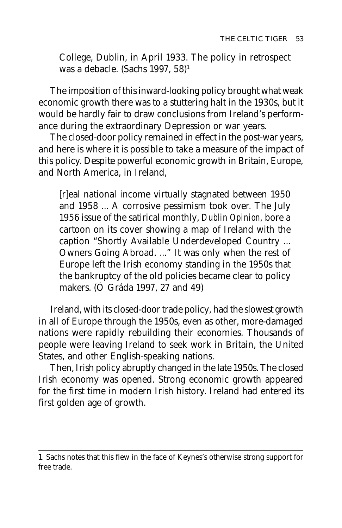College, Dublin, in April 1933. The policy in retrospect was a debacle. (Sachs 1997, 58)<sup>1</sup>

The imposition of this inward-looking policy brought what weak economic growth there was to a stuttering halt in the 1930s, but it would be hardly fair to draw conclusions from Ireland's performance during the extraordinary Depression or war years.

The closed-door policy remained in effect in the post-war years, and here is where it is possible to take a measure of the impact of this policy. Despite powerful economic growth in Britain, Europe, and North America, in Ireland,

[r]eal national income virtually stagnated between 1950 and 1958 ... A corrosive pessimism took over. The July 1956 issue of the satirical monthly, *Dublin Opinion,* bore a cartoon on its cover showing a map of Ireland with the caption "Shortly Available Underdeveloped Country ... Owners Going Abroad. ..." It was only when the rest of Europe left the Irish economy standing in the 1950s that the bankruptcy of the old policies became clear to policy makers. (Ó Gráda 1997, 27 and 49)

Ireland, with its closed-door trade policy, had the slowest growth in all of Europe through the 1950s, even as other, more-damaged nations were rapidly rebuilding their economies. Thousands of people were leaving Ireland to seek work in Britain, the United States, and other English-speaking nations.

Then, Irish policy abruptly changed in the late 1950s. The closed Irish economy was opened. Strong economic growth appeared for the first time in modern Irish history. Ireland had entered its first golden age of growth.

<sup>1.</sup> Sachs notes that this flew in the face of Keynes's otherwise strong support for free trade.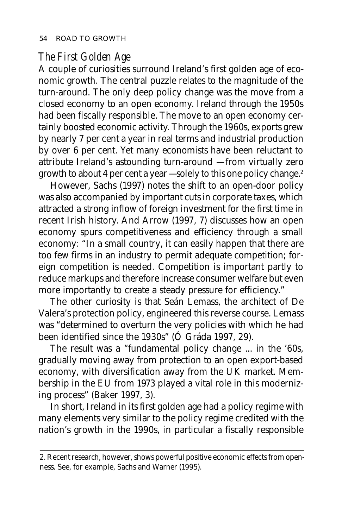### *The First Golden Age*

A couple of curiosities surround Ireland's first golden age of economic growth. The central puzzle relates to the magnitude of the turn-around. The only deep policy change was the move from a closed economy to an open economy. Ireland through the 1950s had been fiscally responsible. The move to an open economy certainly boosted economic activity. Through the 1960s, exports grew by nearly 7 per cent a year in real terms and industrial production by over 6 per cent. Yet many economists have been reluctant to attribute Ireland's astounding turn-around — from virtually zero growth to about 4 per cent a year — solely to this one policy change.2

However, Sachs (1997) notes the shift to an open-door policy was also accompanied by important cuts in corporate taxes, which attracted a strong inflow of foreign investment for the first time in recent Irish history. And Arrow (1997, 7) discusses how an open economy spurs competitiveness and efficiency through a small economy: "In a small country, it can easily happen that there are too few firms in an industry to permit adequate competition; foreign competition is needed. Competition is important partly to reduce markups and therefore increase consumer welfare but even more importantly to create a steady pressure for efficiency."

The other curiosity is that Seán Lemass, the architect of De Valera's protection policy, engineered this reverse course. Lemass was "determined to overturn the very policies with which he had been identified since the 1930s" (Ó Gráda 1997, 29).

The result was a "fundamental policy change ... in the '60s, gradually moving away from protection to an open export-based economy, with diversification away from the UK market. Membership in the EU from 1973 played a vital role in this modernizing process" (Baker 1997, 3).

In short, Ireland in its first golden age had a policy regime with many elements very similar to the policy regime credited with the nation's growth in the 1990s, in particular a fiscally responsible

<sup>2.</sup> Recent research, however, shows powerful positive economic effects from openness. See, for example, Sachs and Warner (1995).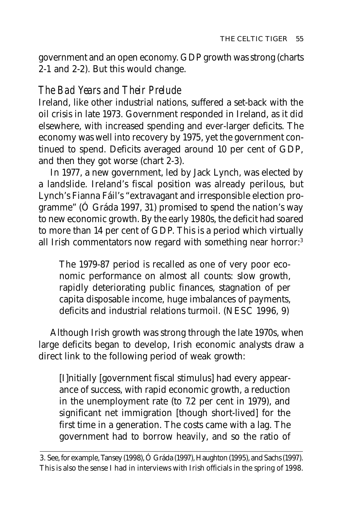government and an open economy. GDP growth was strong (charts 2-1 and 2-2). But this would change.

# *The Bad Years and Their Prelude*

Ireland, like other industrial nations, suffered a set-back with the oil crisis in late 1973. Government responded in Ireland, as it did elsewhere, with increased spending and ever-larger deficits. The economy was well into recovery by 1975, yet the government continued to spend. Deficits averaged around 10 per cent of GDP, and then they got worse (chart 2-3).

In 1977, a new government, led by Jack Lynch, was elected by a landslide. Ireland's fiscal position was already perilous, but Lynch's Fianna Fáil's "extravagant and irresponsible election programme" (Ó Gráda 1997, 31) promised to spend the nation's way to new economic growth. By the early 1980s, the deficit had soared to more than 14 per cent of GDP. This is a period which virtually all Irish commentators now regard with something near horror:<sup>3</sup>

The 1979-87 period is recalled as one of very poor economic performance on almost all counts: slow growth, rapidly deteriorating public finances, stagnation of per capita disposable income, huge imbalances of payments, deficits and industrial relations turmoil. (NESC 1996, 9)

Although Irish growth was strong through the late 1970s, when large deficits began to develop, Irish economic analysts draw a direct link to the following period of weak growth:

[I]nitially [government fiscal stimulus] had every appearance of success, with rapid economic growth, a reduction in the unemployment rate (to 7.2 per cent in 1979), and significant net immigration [though short-lived] for the first time in a generation. The costs came with a lag. The government had to borrow heavily, and so the ratio of

<sup>3.</sup> See, for example, Tansey (1998), Ó Gráda (1997), Haughton (1995), and Sachs (1997). This is also the sense I had in interviews with Irish officials in the spring of 1998.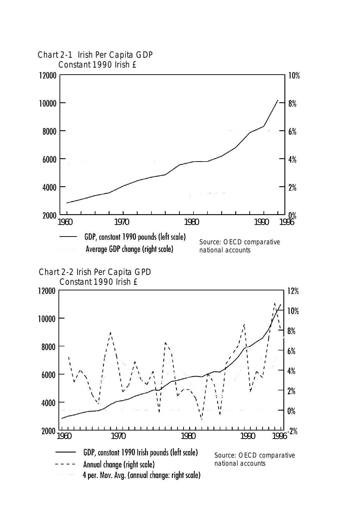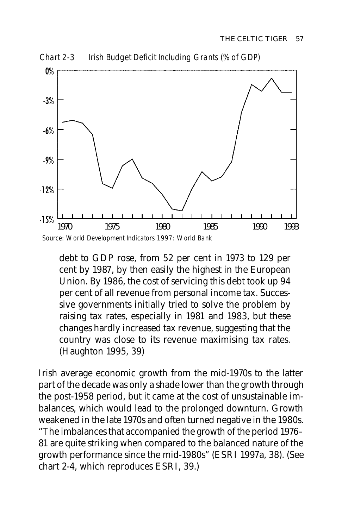

Chart 2-3 Irish Budget Deficit Including Grants (% of GDP)

debt to GDP rose, from 52 per cent in 1973 to 129 per cent by 1987, by then easily the highest in the European Union. By 1986, the cost of servicing this debt took up 94 per cent of all revenue from personal income tax. Successive governments initially tried to solve the problem by raising tax rates, especially in 1981 and 1983, but these changes hardly increased tax revenue, suggesting that the country was close to its revenue maximising tax rates. (Haughton 1995, 39)

Irish average economic growth from the mid-1970s to the latter part of the decade was only a shade lower than the growth through the post-1958 period, but it came at the cost of unsustainable imbalances, which would lead to the prolonged downturn. Growth weakened in the late 1970s and often turned negative in the 1980s. "The imbalances that accompanied the growth of the period 1976– 81 are quite striking when compared to the balanced nature of the growth performance since the mid-1980s" (ESRI 1997a, 38). (See chart 2-4, which reproduces ESRI, 39.)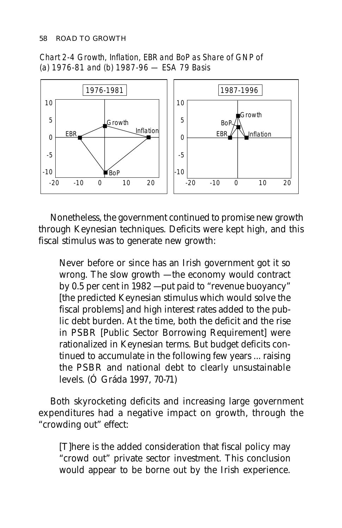Chart 2-4 Growth, Inflation, EBR and BoP as Share of GNP of (a) 1976-81 and (b) 1987-96 — ESA 79 Basis



Nonetheless, the government continued to promise new growth through Keynesian techniques. Deficits were kept high, and this fiscal stimulus was to generate new growth:

Never before or since has an Irish government got it so wrong. The slow growth — the economy would contract by 0.5 per cent in 1982 — put paid to "revenue buoyancy" [the predicted Keynesian stimulus which would solve the fiscal problems] and high interest rates added to the public debt burden. At the time, both the deficit and the rise in PSBR [Public Sector Borrowing Requirement] were rationalized in Keynesian terms. But budget deficits continued to accumulate in the following few years ... raising the PSBR and national debt to clearly unsustainable levels. (Ó Gráda 1997, 70-71)

Both skyrocketing deficits and increasing large government expenditures had a negative impact on growth, through the "crowding out" effect:

[T]here is the added consideration that fiscal policy may "crowd out" private sector investment. This conclusion would appear to be borne out by the Irish experience.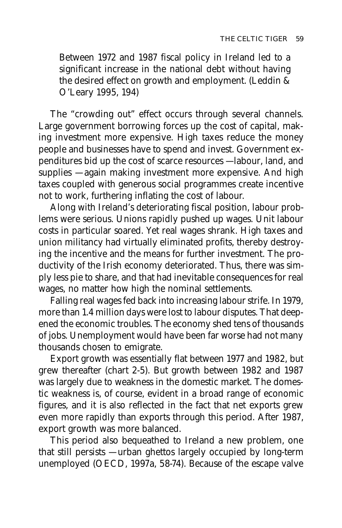Between 1972 and 1987 fiscal policy in Ireland led to a significant increase in the national debt without having the desired effect on growth and employment. (Leddin & O'Leary 1995, 194)

The "crowding out" effect occurs through several channels. Large government borrowing forces up the cost of capital, making investment more expensive. High taxes reduce the money people and businesses have to spend and invest. Government expenditures bid up the cost of scarce resources — labour, land, and supplies — again making investment more expensive. And high taxes coupled with generous social programmes create incentive not to work, furthering inflating the cost of labour.

Along with Ireland's deteriorating fiscal position, labour problems were serious. Unions rapidly pushed up wages. Unit labour costs in particular soared. Yet real wages shrank. High taxes and union militancy had virtually eliminated profits, thereby destroying the incentive and the means for further investment. The productivity of the Irish economy deteriorated. Thus, there was simply less pie to share, and that had inevitable consequences for real wages, no matter how high the nominal settlements.

Falling real wages fed back into increasing labour strife. In 1979, more than 1.4 million days were lost to labour disputes. That deepened the economic troubles. The economy shed tens of thousands of jobs. Unemployment would have been far worse had not many thousands chosen to emigrate.

Export growth was essentially flat between 1977 and 1982, but grew thereafter (chart 2-5). But growth between 1982 and 1987 was largely due to weakness in the domestic market. The domestic weakness is, of course, evident in a broad range of economic figures, and it is also reflected in the fact that net exports grew even more rapidly than exports through this period. After 1987, export growth was more balanced.

This period also bequeathed to Ireland a new problem, one that still persists — urban ghettos largely occupied by long-term unemployed (OECD, 1997a, 58-74). Because of the escape valve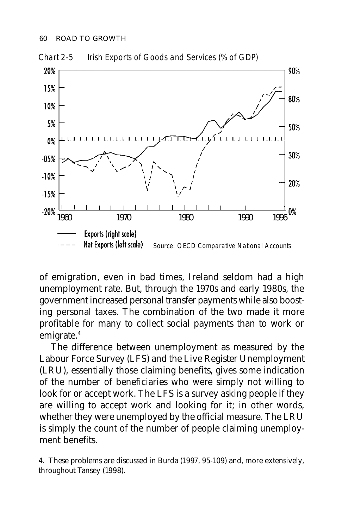

Chart 2-5 Irish Exports of Goods and Services (% of GDP)

of emigration, even in bad times, Ireland seldom had a high unemployment rate. But, through the 1970s and early 1980s, the government increased personal transfer payments while also boosting personal taxes. The combination of the two made it more profitable for many to collect social payments than to work or emigrate.4

The difference between unemployment as measured by the Labour Force Survey (LFS) and the Live Register Unemployment (LRU), essentially those claiming benefits, gives some indication of the number of beneficiaries who were simply not willing to look for or accept work. The LFS is a survey asking people if they are willing to accept work and looking for it; in other words, whether they were unemployed by the official measure. The LRU is simply the count of the number of people claiming unemployment benefits.

<sup>4.</sup> These problems are discussed in Burda (1997, 95-109) and, more extensively, throughout Tansey (1998).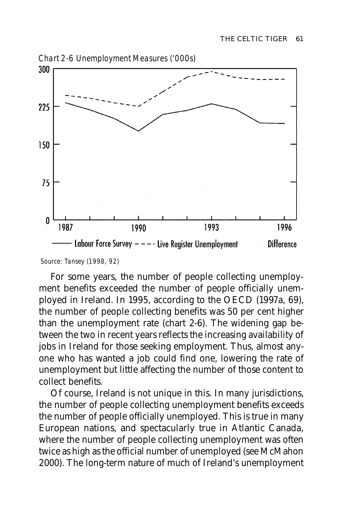

Source: Tansey (1998, 92)

For some years, the number of people collecting unemployment benefits exceeded the number of people officially unemployed in Ireland. In 1995, according to the OECD (1997a, 69), the number of people collecting benefits was 50 per cent higher than the unemployment rate (chart 2-6). The widening gap between the two in recent years reflects the increasing availability of jobs in Ireland for those seeking employment. Thus, almost anyone who has wanted a job could find one, lowering the rate of unemployment but little affecting the number of those content to collect benefits.

Of course, Ireland is not unique in this. In many jurisdictions, the number of people collecting unemployment benefits exceeds the number of people officially unemployed. This is true in many European nations, and spectacularly true in Atlantic Canada, where the number of people collecting unemployment was often twice as high as the official number of unemployed (see McMahon 2000). The long-term nature of much of Ireland's unemployment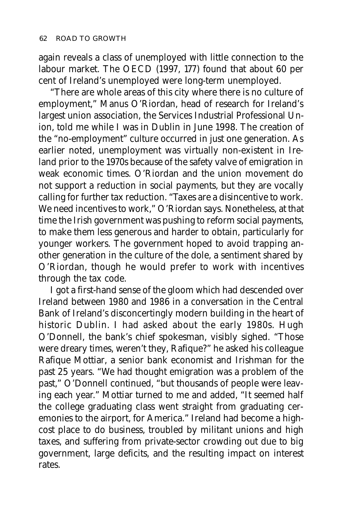again reveals a class of unemployed with little connection to the labour market. The OECD (1997, 177) found that about 60 per cent of Ireland's unemployed were long-term unemployed.

"There are whole areas of this city where there is no culture of employment," Manus O'Riordan, head of research for Ireland's largest union association, the Services Industrial Professional Union, told me while I was in Dublin in June 1998. The creation of the "no-employment" culture occurred in just one generation. As earlier noted, unemployment was virtually non-existent in Ireland prior to the 1970s because of the safety valve of emigration in weak economic times. O'Riordan and the union movement do not support a reduction in social payments, but they are vocally calling for further tax reduction. "Taxes are a disincentive to work. We need incentives to work," O'Riordan says. Nonetheless, at that time the Irish government was pushing to reform social payments, to make them less generous and harder to obtain, particularly for younger workers. The government hoped to avoid trapping another generation in the culture of the dole, a sentiment shared by O'Riordan, though he would prefer to work with incentives through the tax code.

I got a first-hand sense of the gloom which had descended over Ireland between 1980 and 1986 in a conversation in the Central Bank of Ireland's disconcertingly modern building in the heart of historic Dublin. I had asked about the early 1980s. Hugh O'Donnell, the bank's chief spokesman, visibly sighed. "Those were dreary times, weren't they, Rafique?" he asked his colleague Rafique Mottiar, a senior bank economist and Irishman for the past 25 years. "We had thought emigration was a problem of the past," O'Donnell continued, "but thousands of people were leaving each year." Mottiar turned to me and added, "It seemed half the college graduating class went straight from graduating ceremonies to the airport, for America." Ireland had become a highcost place to do business, troubled by militant unions and high taxes, and suffering from private-sector crowding out due to big government, large deficits, and the resulting impact on interest rates.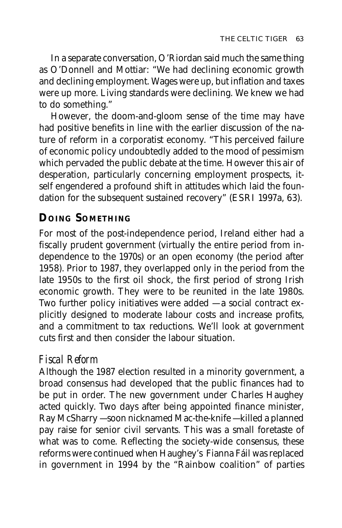In a separate conversation, O'Riordan said much the same thing as O'Donnell and Mottiar: "We had declining economic growth and declining employment. Wages were up, but inflation and taxes were up more. Living standards were declining. We knew we had to do something."

However, the doom-and-gloom sense of the time may have had positive benefits in line with the earlier discussion of the nature of reform in a corporatist economy. "This perceived failure of economic policy undoubtedly added to the mood of pessimism which pervaded the public debate at the time. However this air of desperation, particularly concerning employment prospects, itself engendered a profound shift in attitudes which laid the foundation for the subsequent sustained recovery" (ESRI 1997a, 63).

# **DOING SOMETHING**

For most of the post-independence period, Ireland either had a fiscally prudent government (virtually the entire period from independence to the 1970s) or an open economy (the period after 1958). Prior to 1987, they overlapped only in the period from the late 1950s to the first oil shock, the first period of strong Irish economic growth. They were to be reunited in the late 1980s. Two further policy initiatives were added — a social contract explicitly designed to moderate labour costs and increase profits, and a commitment to tax reductions. We'll look at government cuts first and then consider the labour situation.

# *Fiscal Reform*

Although the 1987 election resulted in a minority government, a broad consensus had developed that the public finances had to be put in order. The new government under Charles Haughey acted quickly. Two days after being appointed finance minister, Ray McSharry — soon nicknamed Mac-the-knife — killed a planned pay raise for senior civil servants. This was a small foretaste of what was to come. Reflecting the society-wide consensus, these reforms were continued when Haughey's Fianna Fáil was replaced in government in 1994 by the "Rainbow coalition" of parties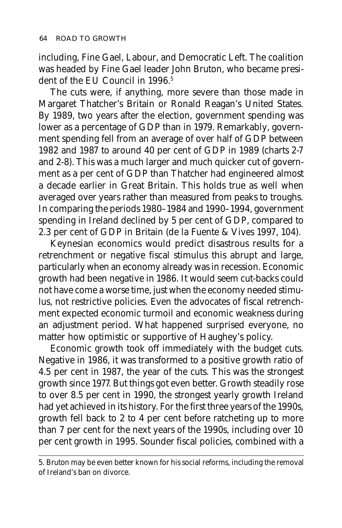including, Fine Gael, Labour, and Democratic Left. The coalition was headed by Fine Gael leader John Bruton, who became president of the EU Council in 1996.<sup>5</sup>

The cuts were, if anything, more severe than those made in Margaret Thatcher's Britain or Ronald Reagan's United States. By 1989, two years after the election, government spending was lower as a percentage of GDP than in 1979. Remarkably, government spending fell from an average of over half of GDP between 1982 and 1987 to around 40 per cent of GDP in 1989 (charts 2-7 and 2-8). This was a much larger and much quicker cut of government as a per cent of GDP than Thatcher had engineered almost a decade earlier in Great Britain. This holds true as well when averaged over years rather than measured from peaks to troughs. In comparing the periods 1980–1984 and 1990–1994, government spending in Ireland declined by 5 per cent of GDP, compared to 2.3 per cent of GDP in Britain (de la Fuente & Vives 1997, 104).

Keynesian economics would predict disastrous results for a retrenchment or negative fiscal stimulus this abrupt and large, particularly when an economy already was in recession. Economic growth had been negative in 1986. It would seem cut-backs could not have come a worse time, just when the economy needed stimulus, not restrictive policies. Even the advocates of fiscal retrenchment expected economic turmoil and economic weakness during an adjustment period. What happened surprised everyone, no matter how optimistic or supportive of Haughey's policy.

Economic growth took off immediately with the budget cuts. Negative in 1986, it was transformed to a positive growth ratio of 4.5 per cent in 1987, the year of the cuts. This was the strongest growth since 1977. But things got even better. Growth steadily rose to over 8.5 per cent in 1990, the strongest yearly growth Ireland had yet achieved in its history. For the first three years of the 1990s, growth fell back to 2 to 4 per cent before ratcheting up to more than 7 per cent for the next years of the 1990s, including over 10 per cent growth in 1995. Sounder fiscal policies, combined with a

<sup>5.</sup> Bruton may be even better known for his social reforms, including the removal of Ireland's ban on divorce.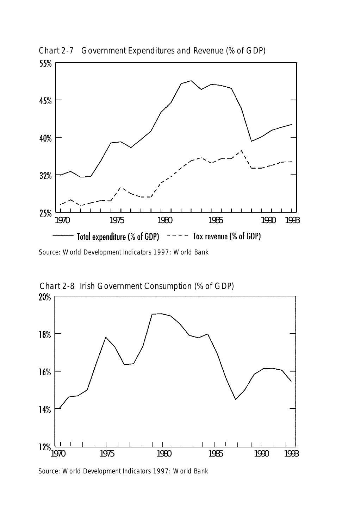

Chart 2-7 Government Expenditures and Revenue (% of GDP)

Source: World Development Indicators 1997: World Bank



Source: World Development Indicators 1997: World Bank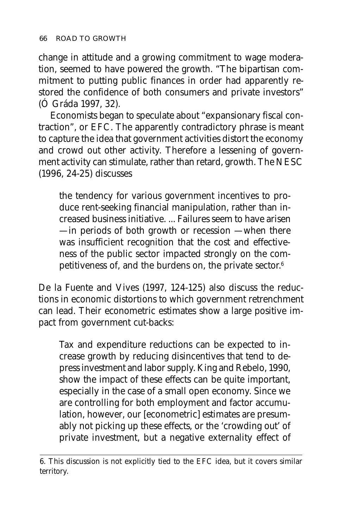change in attitude and a growing commitment to wage moderation, seemed to have powered the growth. "The bipartisan commitment to putting public finances in order had apparently restored the confidence of both consumers and private investors" (Ó Gráda 1997, 32).

Economists began to speculate about "expansionary fiscal contraction", or EFC. The apparently contradictory phrase is meant to capture the idea that government activities distort the economy and crowd out other activity. Therefore a lessening of government activity can stimulate, rather than retard, growth. The NESC (1996, 24-25) discusses

the tendency for various government incentives to produce rent-seeking financial manipulation, rather than increased business initiative. ... Failures seem to have arisen — in periods of both growth or recession — when there was insufficient recognition that the cost and effectiveness of the public sector impacted strongly on the competitiveness of, and the burdens on, the private sector.<sup>6</sup>

De la Fuente and Vives (1997, 124-125) also discuss the reductions in economic distortions to which government retrenchment can lead. Their econometric estimates show a large positive impact from government cut-backs:

Tax and expenditure reductions can be expected to increase growth by reducing disincentives that tend to depress investment and labor supply. King and Rebelo, 1990, show the impact of these effects can be quite important, especially in the case of a small open economy. Since we are controlling for both employment and factor accumulation, however, our [econometric] estimates are presumably not picking up these effects, or the 'crowding out' of private investment, but a negative externality effect of

<sup>6.</sup> This discussion is not explicitly tied to the EFC idea, but it covers similar territory.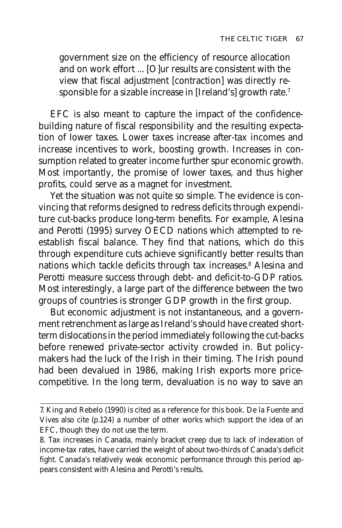government size on the efficiency of resource allocation and on work effort ... [O]ur results are consistent with the view that fiscal adjustment [contraction] was directly responsible for a sizable increase in [Ireland's] growth rate.7

EFC is also meant to capture the impact of the confidencebuilding nature of fiscal responsibility and the resulting expectation of lower taxes. Lower taxes increase after-tax incomes and increase incentives to work, boosting growth. Increases in consumption related to greater income further spur economic growth. Most importantly, the promise of lower taxes, and thus higher profits, could serve as a magnet for investment.

Yet the situation was not quite so simple. The evidence is convincing that reforms designed to redress deficits through expenditure cut-backs produce long-term benefits. For example, Alesina and Perotti (1995) survey OECD nations which attempted to reestablish fiscal balance. They find that nations, which do this through expenditure cuts achieve significantly better results than nations which tackle deficits through tax increases.<sup>8</sup> Alesina and Perotti measure success through debt- and deficit-to-GDP ratios. Most interestingly, a large part of the difference between the two groups of countries is stronger GDP growth in the first group.

But economic adjustment is not instantaneous, and a government retrenchment as large as Ireland's should have created shortterm dislocations in the period immediately following the cut-backs before renewed private-sector activity crowded in. But policymakers had the luck of the Irish in their timing. The Irish pound had been devalued in 1986, making Irish exports more pricecompetitive. In the long term, devaluation is no way to save an

<sup>7.</sup> King and Rebelo (1990) is cited as a reference for this book. De la Fuente and Vives also cite (p.124) a number of other works which support the idea of an EFC, though they do not use the term.

<sup>8.</sup> Tax increases in Canada, mainly bracket creep due to lack of indexation of income-tax rates, have carried the weight of about two-thirds of Canada's deficit fight. Canada's relatively weak economic performance through this period appears consistent with Alesina and Perotti's results.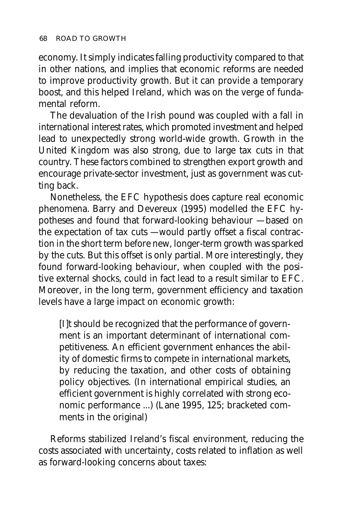economy. It simply indicates falling productivity compared to that in other nations, and implies that economic reforms are needed to improve productivity growth. But it can provide a temporary boost, and this helped Ireland, which was on the verge of fundamental reform.

The devaluation of the Irish pound was coupled with a fall in international interest rates, which promoted investment and helped lead to unexpectedly strong world-wide growth. Growth in the United Kingdom was also strong, due to large tax cuts in that country. These factors combined to strengthen export growth and encourage private-sector investment, just as government was cutting back.

Nonetheless, the EFC hypothesis does capture real economic phenomena. Barry and Devereux (1995) modelled the EFC hypotheses and found that forward-looking behaviour — based on the expectation of tax cuts — would partly offset a fiscal contraction in the short term before new, longer-term growth was sparked by the cuts. But this offset is only partial. More interestingly, they found forward-looking behaviour, when coupled with the positive external shocks, could in fact lead to a result similar to EFC. Moreover, in the long term, government efficiency and taxation levels have a large impact on economic growth:

[I]t should be recognized that the performance of government is an important determinant of international competitiveness. An efficient government enhances the ability of domestic firms to compete in international markets, by reducing the taxation, and other costs of obtaining policy objectives. (In international empirical studies, an efficient government is highly correlated with strong economic performance ...) (Lane 1995, 125; bracketed comments in the original)

Reforms stabilized Ireland's fiscal environment, reducing the costs associated with uncertainty, costs related to inflation as well as forward-looking concerns about taxes: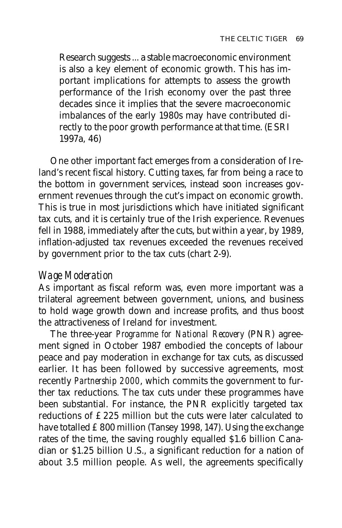Research suggests ... a stable macroeconomic environment is also a key element of economic growth. This has important implications for attempts to assess the growth performance of the Irish economy over the past three decades since it implies that the severe macroeconomic imbalances of the early 1980s may have contributed directly to the poor growth performance at that time. (ESRI 1997a, 46)

One other important fact emerges from a consideration of Ireland's recent fiscal history. Cutting taxes, far from being a race to the bottom in government services, instead soon increases government revenues through the cut's impact on economic growth. This is true in most jurisdictions which have initiated significant tax cuts, and it is certainly true of the Irish experience. Revenues fell in 1988, immediately after the cuts, but within a year, by 1989, inflation-adjusted tax revenues exceeded the revenues received by government prior to the tax cuts (chart 2-9).

#### *Wage Moderation*

As important as fiscal reform was, even more important was a trilateral agreement between government, unions, and business to hold wage growth down and increase profits, and thus boost the attractiveness of Ireland for investment.

The three-year *Programme for National Recovery* (PNR) agreement signed in October 1987 embodied the concepts of labour peace and pay moderation in exchange for tax cuts, as discussed earlier. It has been followed by successive agreements, most recently *Partnership 2000*, which commits the government to further tax reductions. The tax cuts under these programmes have been substantial. For instance, the PNR explicitly targeted tax reductions of £225 million but the cuts were later calculated to have totalled £800 million (Tansey 1998, 147). Using the exchange rates of the time, the saving roughly equalled \$1.6 billion Canadian or \$1.25 billion U.S., a significant reduction for a nation of about 3.5 million people. As well, the agreements specifically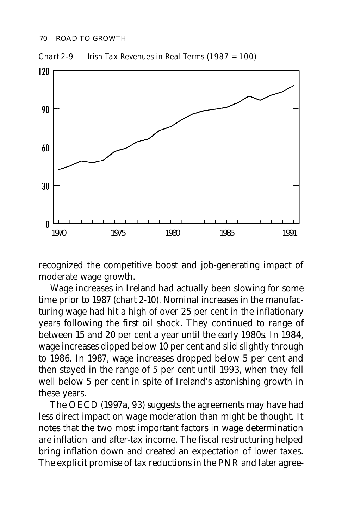

Chart 2-9 Irish Tax Revenues in Real Terms (1987 = 100)

recognized the competitive boost and job-generating impact of moderate wage growth.

Wage increases in Ireland had actually been slowing for some time prior to 1987 (chart 2-10). Nominal increases in the manufacturing wage had hit a high of over 25 per cent in the inflationary years following the first oil shock. They continued to range of between 15 and 20 per cent a year until the early 1980s. In 1984, wage increases dipped below 10 per cent and slid slightly through to 1986. In 1987, wage increases dropped below 5 per cent and then stayed in the range of 5 per cent until 1993, when they fell well below 5 per cent in spite of Ireland's astonishing growth in these years.

The OECD (1997a, 93) suggests the agreements may have had less direct impact on wage moderation than might be thought. It notes that the two most important factors in wage determination are inflation and after-tax income. The fiscal restructuring helped bring inflation down and created an expectation of lower taxes. The explicit promise of tax reductions in the PNR and later agree-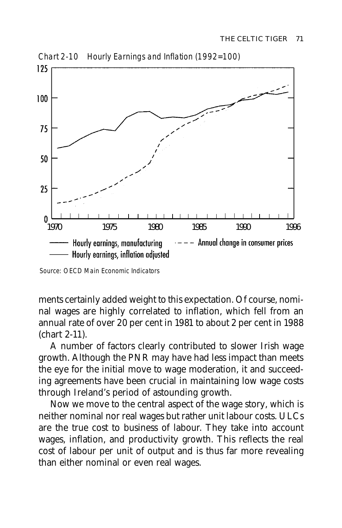

Chart 2-10 Hourly Earnings and Inflation (1992=100)

ments certainly added weight to this expectation. Of course, nominal wages are highly correlated to inflation, which fell from an annual rate of over 20 per cent in 1981 to about 2 per cent in 1988 (chart 2-11).

A number of factors clearly contributed to slower Irish wage growth. Although the PNR may have had less impact than meets the eye for the initial move to wage moderation, it and succeeding agreements have been crucial in maintaining low wage costs through Ireland's period of astounding growth.

Now we move to the central aspect of the wage story, which is neither nominal nor real wages but rather unit labour costs. ULCs are the true cost to business of labour. They take into account wages, inflation, and productivity growth. This reflects the real cost of labour per unit of output and is thus far more revealing than either nominal or even real wages.

Source: OECD Main Economic Indicators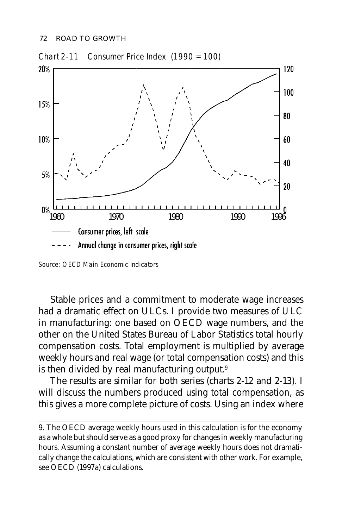

Chart 2-11 Consumer Price Index (1990 = 100)

Stable prices and a commitment to moderate wage increases had a dramatic effect on ULCs. I provide two measures of ULC in manufacturing: one based on OECD wage numbers, and the other on the United States Bureau of Labor Statistics total hourly compensation costs. Total employment is multiplied by average weekly hours and real wage (or total compensation costs) and this is then divided by real manufacturing output.<sup>9</sup>

The results are similar for both series (charts 2-12 and 2-13). I will discuss the numbers produced using total compensation, as this gives a more complete picture of costs. Using an index where

Source: OECD Main Economic Indicators

<sup>9.</sup> The OECD average weekly hours used in this calculation is for the economy as a whole but should serve as a good proxy for changes in weekly manufacturing hours. Assuming a constant number of average weekly hours does not dramatically change the calculations, which are consistent with other work. For example, see OECD (1997a) calculations.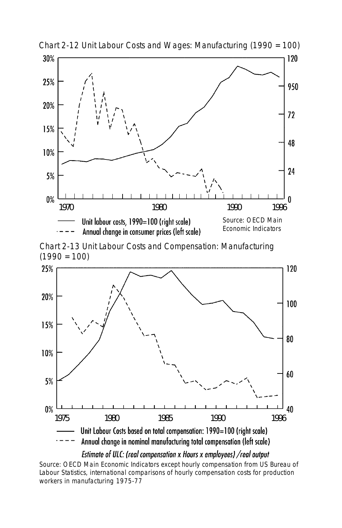

Chart 2-12 Unit Labour Costs and Wages: Manufacturing (1990 = 100)

Chart 2-13 Unit Labour Costs and Compensation: Manufacturing  $(1990 = 100)$ 



Estimate of ULC: (real compensation x Hours x employees) /real output

Source: OECD Main Economic Indicators except hourly compensation from US Bureau of Labour Statistics, international comparisons of hourly compensation costs for production workers in manufacturing 1975-77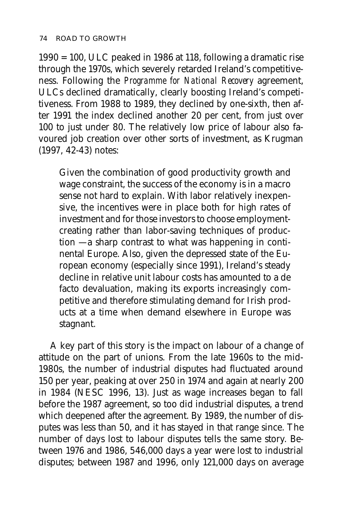1990 = 100, ULC peaked in 1986 at 118, following a dramatic rise through the 1970s, which severely retarded Ireland's competitiveness. Following the *Programme for National Recovery* agreement, ULCs declined dramatically, clearly boosting Ireland's competitiveness. From 1988 to 1989, they declined by one-sixth, then after 1991 the index declined another 20 per cent, from just over 100 to just under 80. The relatively low price of labour also favoured job creation over other sorts of investment, as Krugman (1997, 42-43) notes:

Given the combination of good productivity growth and wage constraint, the success of the economy is in a macro sense not hard to explain. With labor relatively inexpensive, the incentives were in place both for high rates of investment and for those investors to choose employmentcreating rather than labor-saving techniques of production — a sharp contrast to what was happening in continental Europe. Also, given the depressed state of the European economy (especially since 1991), Ireland's steady decline in relative unit labour costs has amounted to a de facto devaluation, making its exports increasingly competitive and therefore stimulating demand for Irish products at a time when demand elsewhere in Europe was stagnant.

A key part of this story is the impact on labour of a change of attitude on the part of unions. From the late 1960s to the mid-1980s, the number of industrial disputes had fluctuated around 150 per year, peaking at over 250 in 1974 and again at nearly 200 in 1984 (NESC 1996, 13). Just as wage increases began to fall before the 1987 agreement, so too did industrial disputes, a trend which deepened after the agreement. By 1989, the number of disputes was less than 50, and it has stayed in that range since. The number of days lost to labour disputes tells the same story. Between 1976 and 1986, 546,000 days a year were lost to industrial disputes; between 1987 and 1996, only 121,000 days on average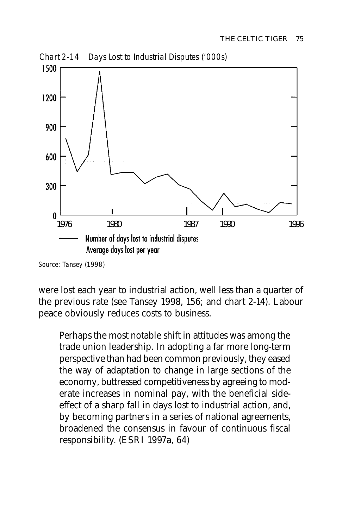

Source: Tansey (1998)

were lost each year to industrial action, well less than a quarter of the previous rate (see Tansey 1998, 156; and chart 2-14). Labour peace obviously reduces costs to business.

Perhaps the most notable shift in attitudes was among the trade union leadership. In adopting a far more long-term perspective than had been common previously, they eased the way of adaptation to change in large sections of the economy, buttressed competitiveness by agreeing to moderate increases in nominal pay, with the beneficial sideeffect of a sharp fall in days lost to industrial action, and, by becoming partners in a series of national agreements, broadened the consensus in favour of continuous fiscal responsibility. (ESRI 1997a, 64)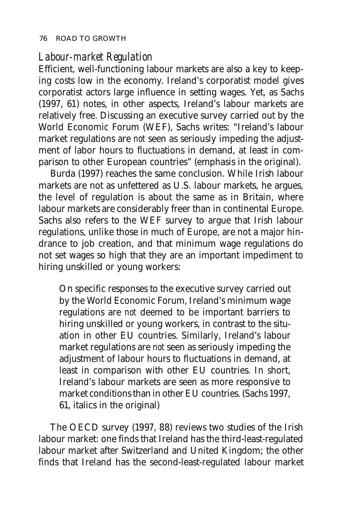#### *Labour-market Regulation*

Efficient, well-functioning labour markets are also a key to keeping costs low in the economy. Ireland's corporatist model gives corporatist actors large influence in setting wages. Yet, as Sachs (1997, 61) notes, in other aspects, Ireland's labour markets are relatively free. Discussing an executive survey carried out by the World Economic Forum (WEF), Sachs writes: "Ireland's labour market regulations are *not* seen as seriously impeding the adjustment of labor hours to fluctuations in demand, at least in comparison to other European countries" (emphasis in the original).

Burda (1997) reaches the same conclusion. While Irish labour markets are not as unfettered as U.S. labour markets, he argues, the level of regulation is about the same as in Britain, where labour markets are considerably freer than in continental Europe. Sachs also refers to the WEF survey to argue that Irish labour regulations, unlike those in much of Europe, are not a major hindrance to job creation, and that minimum wage regulations do not set wages so high that they are an important impediment to hiring unskilled or young workers:

On specific responses to the executive survey carried out by the World Economic Forum, Ireland's minimum wage regulations are *not* deemed to be important barriers to hiring unskilled or young workers, in contrast to the situation in other EU countries. Similarly, Ireland's labour market regulations are *not* seen as seriously impeding the adjustment of labour hours to fluctuations in demand, at least in comparison with other EU countries. In short, Ireland's labour markets are seen as more responsive to market conditions than in other EU countries. (Sachs 1997, 61, italics in the original)

The OECD survey (1997, 88) reviews two studies of the Irish labour market: one finds that Ireland has the third-least-regulated labour market after Switzerland and United Kingdom; the other finds that Ireland has the second-least-regulated labour market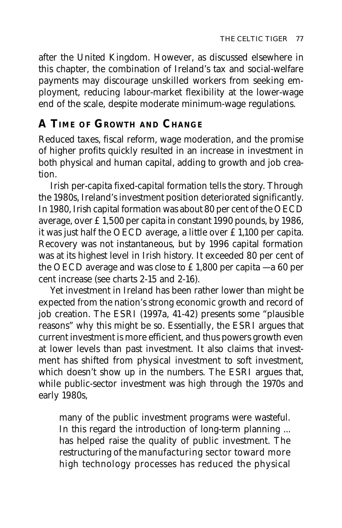after the United Kingdom. However, as discussed elsewhere in this chapter, the combination of Ireland's tax and social-welfare payments may discourage unskilled workers from seeking employment, reducing labour-market flexibility at the lower-wage end of the scale, despite moderate minimum-wage regulations.

# **A TIME OF GROWTH AND CHANGE**

Reduced taxes, fiscal reform, wage moderation, and the promise of higher profits quickly resulted in an increase in investment in both physical and human capital, adding to growth and job creation.

Irish per-capita fixed-capital formation tells the story. Through the 1980s, Ireland's investment position deteriorated significantly. In 1980, Irish capital formation was about 80 per cent of the OECD average, over £1,500 per capita in constant 1990 pounds, by 1986, it was just half the OECD average, a little over £1,100 per capita. Recovery was not instantaneous, but by 1996 capital formation was at its highest level in Irish history. It exceeded 80 per cent of the OECD average and was close to £1,800 per capita – a 60 per cent increase (see charts 2-15 and 2-16).

Yet investment in Ireland has been rather lower than might be expected from the nation's strong economic growth and record of job creation. The ESRI (1997a, 41-42) presents some "plausible reasons" why this might be so. Essentially, the ESRI argues that current investment is more efficient, and thus powers growth even at lower levels than past investment. It also claims that investment has shifted from physical investment to soft investment, which doesn't show up in the numbers. The ESRI argues that, while public-sector investment was high through the 1970s and early 1980s,

many of the public investment programs were wasteful. In this regard the introduction of long-term planning ... has helped raise the quality of public investment. The restructuring of the manufacturing sector toward more high technology processes has reduced the physical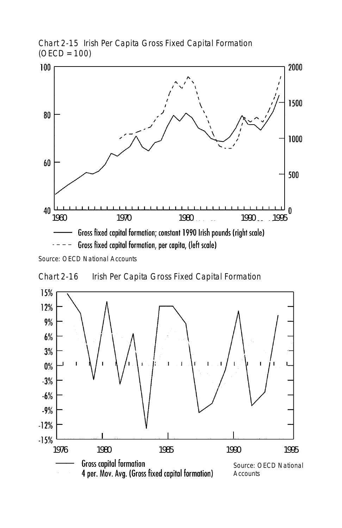

Chart 2-15 Irish Per Capita Gross Fixed Capital Formation  $(OECD = 100)$ 

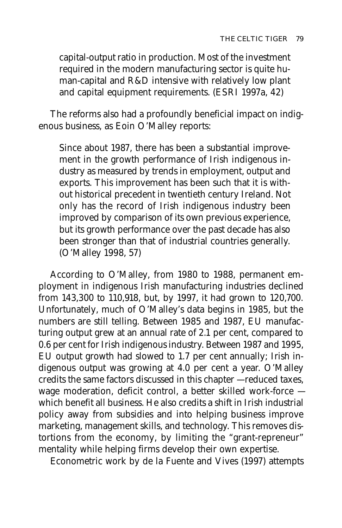capital-output ratio in production. Most of the investment required in the modern manufacturing sector is quite human-capital and R&D intensive with relatively low plant and capital equipment requirements. (ESRI 1997a, 42)

The reforms also had a profoundly beneficial impact on indigenous business, as Eoin O'Malley reports:

Since about 1987, there has been a substantial improvement in the growth performance of Irish indigenous industry as measured by trends in employment, output and exports. This improvement has been such that it is without historical precedent in twentieth century Ireland. Not only has the record of Irish indigenous industry been improved by comparison of its own previous experience, but its growth performance over the past decade has also been stronger than that of industrial countries generally. (O'Malley 1998, 57)

According to O'Malley, from 1980 to 1988, permanent employment in indigenous Irish manufacturing industries declined from 143,300 to 110,918, but, by 1997, it had grown to 120,700. Unfortunately, much of O'Malley's data begins in 1985, but the numbers are still telling. Between 1985 and 1987, EU manufacturing output grew at an annual rate of 2.1 per cent, compared to 0.6 per cent for Irish indigenous industry. Between 1987 and 1995, EU output growth had slowed to 1.7 per cent annually; Irish indigenous output was growing at 4.0 per cent a year. O'Malley credits the same factors discussed in this chapter — reduced taxes, wage moderation, deficit control, a better skilled work-force which benefit all business. He also credits a shift in Irish industrial policy away from subsidies and into helping business improve marketing, management skills, and technology. This removes distortions from the economy, by limiting the "grant-repreneur" mentality while helping firms develop their own expertise.

Econometric work by de la Fuente and Vives (1997) attempts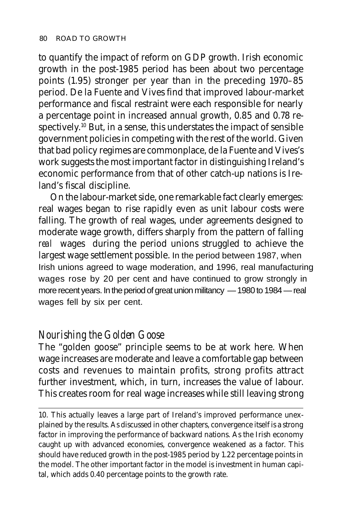to quantify the impact of reform on GDP growth. Irish economic growth in the post-1985 period has been about two percentage points (1.95) stronger per year than in the preceding 1970–85 period. De la Fuente and Vives find that improved labour-market performance and fiscal restraint were each responsible for nearly a percentage point in increased annual growth, 0.85 and 0.78 respectively.10 But, in a sense, this understates the impact of sensible government policies in competing with the rest of the world. Given that bad policy regimes are commonplace, de la Fuente and Vives's work suggests the most important factor in distinguishing Ireland's economic performance from that of other catch-up nations is Ireland's fiscal discipline.

On the labour-market side, one remarkable fact clearly emerges: real wages began to rise rapidly even as unit labour costs were falling. The growth of real wages, under agreements designed to moderate wage growth, differs sharply from the pattern of falling *real* wages during the period unions struggled to achieve the largest wage settlement possible. In the period between 1987, when Irish unions agreed to wage moderation, and 1996, real manufacturing wages rose by 20 per cent and have continued to grow strongly in more recent years. In the period of great union militancy — 1980 to 1984 — real wages fell by six per cent.

#### *Nourishing the Golden Goose*

The "golden goose" principle seems to be at work here. When wage increases are moderate and leave a comfortable gap between costs and revenues to maintain profits, strong profits attract further investment, which, in turn, increases the value of labour. This creates room for real wage increases while still leaving strong

10. This actually leaves a large part of Ireland's improved performance unexplained by the results. As discussed in other chapters, convergence itself is a strong factor in improving the performance of backward nations. As the Irish economy caught up with advanced economies, convergence weakened as a factor. This should have reduced growth in the post-1985 period by 1.22 percentage points in the model. The other important factor in the model is investment in human capital, which adds 0.40 percentage points to the growth rate.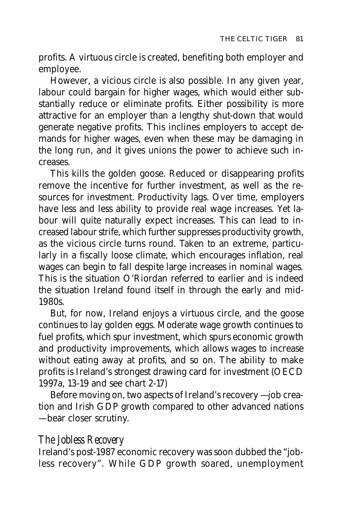profits. A virtuous circle is created, benefiting both employer and employee.

However, a vicious circle is also possible. In any given year, labour could bargain for higher wages, which would either substantially reduce or eliminate profits. Either possibility is more attractive for an employer than a lengthy shut-down that would generate negative profits. This inclines employers to accept demands for higher wages, even when these may be damaging in the long run, and it gives unions the power to achieve such increases.

This kills the golden goose. Reduced or disappearing profits remove the incentive for further investment, as well as the resources for investment. Productivity lags. Over time, employers have less and less ability to provide real wage increases. Yet labour will quite naturally expect increases. This can lead to increased labour strife, which further suppresses productivity growth, as the vicious circle turns round. Taken to an extreme, particularly in a fiscally loose climate, which encourages inflation, real wages can begin to fall despite large increases in nominal wages. This is the situation O'Riordan referred to earlier and is indeed the situation Ireland found itself in through the early and mid-1980s.

But, for now, Ireland enjoys a virtuous circle, and the goose continues to lay golden eggs. Moderate wage growth continues to fuel profits, which spur investment, which spurs economic growth and productivity improvements, which allows wages to increase without eating away at profits, and so on. The ability to make profits is Ireland's strongest drawing card for investment (OECD 1997a, 13-19 and see chart 2-17)

Before moving on, two aspects of Ireland's recovery — job creation and Irish GDP growth compared to other advanced nations — bear closer scrutiny.

#### *The Jobless Recovery*

Ireland's post-1987 economic recovery was soon dubbed the "jobless recovery". While GDP growth soared, unemployment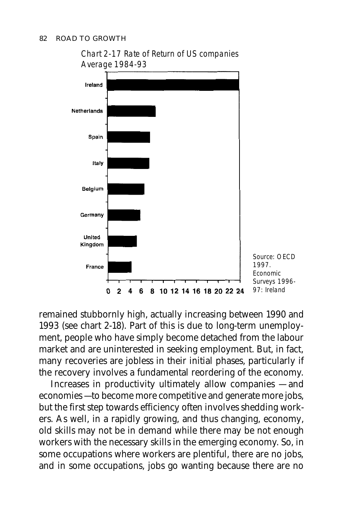

remained stubbornly high, actually increasing between 1990 and 1993 (see chart 2-18). Part of this is due to long-term unemployment, people who have simply become detached from the labour market and are uninterested in seeking employment. But, in fact, many recoveries are jobless in their initial phases, particularly if the recovery involves a fundamental reordering of the economy.

Increases in productivity ultimately allow companies — and economies — to become more competitive and generate more jobs, but the first step towards efficiency often involves shedding workers. As well, in a rapidly growing, and thus changing, economy, old skills may not be in demand while there may be not enough workers with the necessary skills in the emerging economy. So, in some occupations where workers are plentiful, there are no jobs, and in some occupations, jobs go wanting because there are no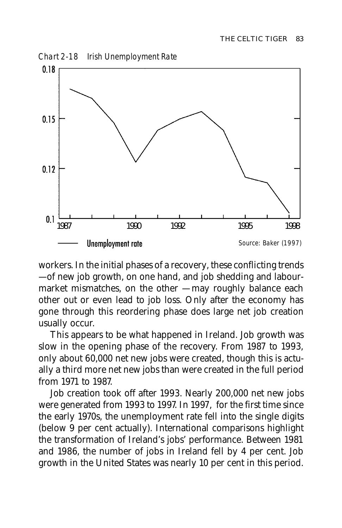Chart 2-18 Irish Unemployment Rate



workers. In the initial phases of a recovery, these conflicting trends — of new job growth, on one hand, and job shedding and labourmarket mismatches, on the other — may roughly balance each other out or even lead to job loss. Only after the economy has gone through this reordering phase does large net job creation usually occur.

This appears to be what happened in Ireland. Job growth was slow in the opening phase of the recovery. From 1987 to 1993, only about 60,000 net new jobs were created, though this is actually a third more net new jobs than were created in the full period from 1971 to 1987.

Job creation took off after 1993. Nearly 200,000 net new jobs were generated from 1993 to 1997. In 1997, for the first time since the early 1970s, the unemployment rate fell into the single digits (below 9 per cent actually). International comparisons highlight the transformation of Ireland's jobs' performance. Between 1981 and 1986, the number of jobs in Ireland fell by 4 per cent. Job growth in the United States was nearly 10 per cent in this period.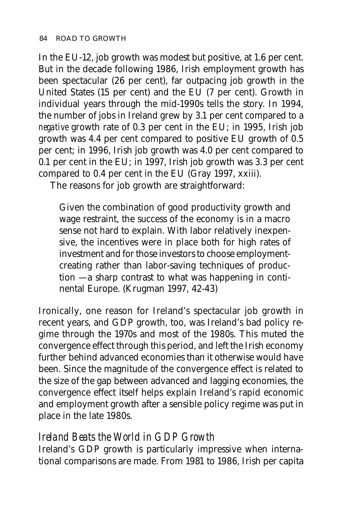In the EU-12, job growth was modest but positive, at 1.6 per cent. But in the decade following 1986, Irish employment growth has been spectacular (26 per cent), far outpacing job growth in the United States (15 per cent) and the EU (7 per cent). Growth in individual years through the mid-1990s tells the story. In 1994, the number of jobs in Ireland grew by 3.1 per cent compared to a *negative* growth rate of 0.3 per cent in the EU; in 1995, Irish job growth was 4.4 per cent compared to positive EU growth of 0.5 per cent; in 1996, Irish job growth was 4.0 per cent compared to 0.1 per cent in the EU; in 1997, Irish job growth was 3.3 per cent compared to 0.4 per cent in the EU (Gray 1997, xxiii).

The reasons for job growth are straightforward:

Given the combination of good productivity growth and wage restraint, the success of the economy is in a macro sense not hard to explain. With labor relatively inexpensive, the incentives were in place both for high rates of investment and for those investors to choose employmentcreating rather than labor-saving techniques of production — a sharp contrast to what was happening in continental Europe. (Krugman 1997, 42-43)

Ironically, one reason for Ireland's spectacular job growth in recent years, and GDP growth, too, was Ireland's bad policy regime through the 1970s and most of the 1980s. This muted the convergence effect through this period, and left the Irish economy further behind advanced economies than it otherwise would have been. Since the magnitude of the convergence effect is related to the size of the gap between advanced and lagging economies, the convergence effect itself helps explain Ireland's rapid economic and employment growth after a sensible policy regime was put in place in the late 1980s.

# *Ireland Beats the World in GDP Growth*

Ireland's GDP growth is particularly impressive when international comparisons are made. From 1981 to 1986, Irish per capita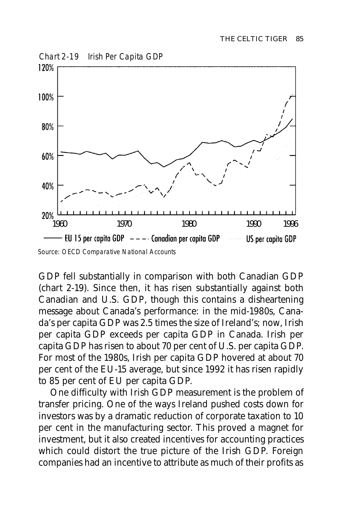

GDP fell substantially in comparison with both Canadian GDP (chart 2-19). Since then, it has risen substantially against both Canadian and U.S. GDP, though this contains a disheartening message about Canada's performance: in the mid-1980s, Canada's per capita GDP was 2.5 times the size of Ireland's; now, Irish per capita GDP exceeds per capita GDP in Canada. Irish per capita GDP has risen to about 70 per cent of U.S. per capita GDP. For most of the 1980s, Irish per capita GDP hovered at about 70 per cent of the EU-15 average, but since 1992 it has risen rapidly to 85 per cent of EU per capita GDP.

One difficulty with Irish GDP measurement is the problem of transfer pricing. One of the ways Ireland pushed costs down for investors was by a dramatic reduction of corporate taxation to 10 per cent in the manufacturing sector. This proved a magnet for investment, but it also created incentives for accounting practices which could distort the true picture of the Irish GDP. Foreign companies had an incentive to attribute as much of their profits as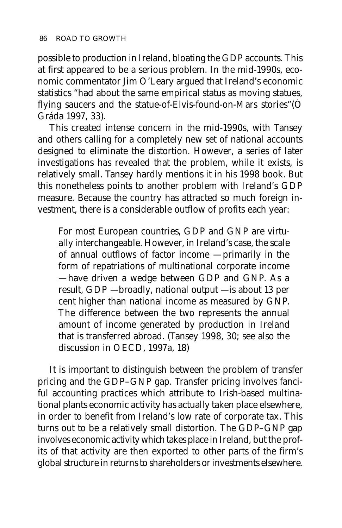possible to production in Ireland, bloating the GDP accounts. This at first appeared to be a serious problem. In the mid-1990s, economic commentator Jim O'Leary argued that Ireland's economic statistics "had about the same empirical status as moving statues, flying saucers and the statue-of-Elvis-found-on-Mars stories"(Ó Gráda 1997, 33).

This created intense concern in the mid-1990s, with Tansey and others calling for a completely new set of national accounts designed to eliminate the distortion. However, a series of later investigations has revealed that the problem, while it exists, is relatively small. Tansey hardly mentions it in his 1998 book. But this nonetheless points to another problem with Ireland's GDP measure. Because the country has attracted so much foreign investment, there is a considerable outflow of profits each year:

For most European countries, GDP and GNP are virtually interchangeable. However, in Ireland's case, the scale of annual outflows of factor income — primarily in the form of repatriations of multinational corporate income — have driven a wedge between GDP and GNP. As a result, GDP — broadly, national output — is about 13 per cent higher than national income as measured by GNP. The difference between the two represents the annual amount of income generated by production in Ireland that is transferred abroad. (Tansey 1998, 30; see also the discussion in OECD, 1997a, 18)

It is important to distinguish between the problem of transfer pricing and the GDP–GNP gap. Transfer pricing involves fanciful accounting practices which attribute to Irish-based multinational plants economic activity has actually taken place elsewhere, in order to benefit from Ireland's low rate of corporate tax. This turns out to be a relatively small distortion. The GDP–GNP gap involves economic activity which takes place in Ireland, but the profits of that activity are then exported to other parts of the firm's global structure in returns to shareholders or investments elsewhere.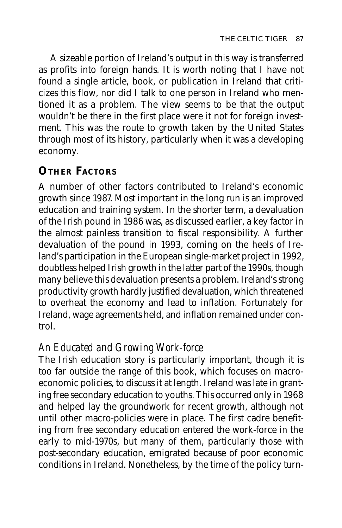A sizeable portion of Ireland's output in this way is transferred as profits into foreign hands. It is worth noting that I have not found a single article, book, or publication in Ireland that criticizes this flow, nor did I talk to one person in Ireland who mentioned it as a problem. The view seems to be that the output wouldn't be there in the first place were it not for foreign investment. This was the route to growth taken by the United States through most of its history, particularly when it was a developing economy.

# **OTHER FACTORS**

A number of other factors contributed to Ireland's economic growth since 1987. Most important in the long run is an improved education and training system. In the shorter term, a devaluation of the Irish pound in 1986 was, as discussed earlier, a key factor in the almost painless transition to fiscal responsibility. A further devaluation of the pound in 1993, coming on the heels of Ireland's participation in the European single-market project in 1992, doubtless helped Irish growth in the latter part of the 1990s, though many believe this devaluation presents a problem. Ireland's strong productivity growth hardly justified devaluation, which threatened to overheat the economy and lead to inflation. Fortunately for Ireland, wage agreements held, and inflation remained under control.

# *An Educated and Growing Work-force*

The Irish education story is particularly important, though it is too far outside the range of this book, which focuses on macroeconomic policies, to discuss it at length. Ireland was late in granting free secondary education to youths. This occurred only in 1968 and helped lay the groundwork for recent growth, although not until other macro-policies were in place. The first cadre benefiting from free secondary education entered the work-force in the early to mid-1970s, but many of them, particularly those with post-secondary education, emigrated because of poor economic conditions in Ireland. Nonetheless, by the time of the policy turn-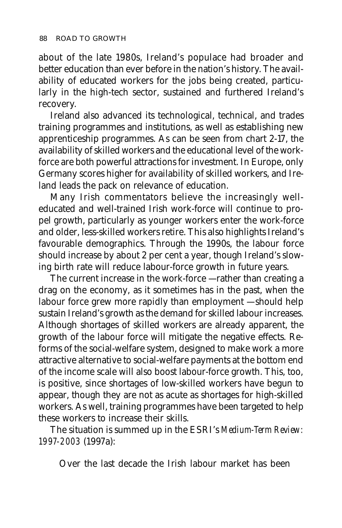about of the late 1980s, Ireland's populace had broader and better education than ever before in the nation's history. The availability of educated workers for the jobs being created, particularly in the high-tech sector, sustained and furthered Ireland's recovery.

Ireland also advanced its technological, technical, and trades training programmes and institutions, as well as establishing new apprenticeship programmes. As can be seen from chart 2-17, the availability of skilled workers and the educational level of the workforce are both powerful attractions for investment. In Europe, only Germany scores higher for availability of skilled workers, and Ireland leads the pack on relevance of education.

Many Irish commentators believe the increasingly welleducated and well-trained Irish work-force will continue to propel growth, particularly as younger workers enter the work-force and older, less-skilled workers retire. This also highlights Ireland's favourable demographics. Through the 1990s, the labour force should increase by about 2 per cent a year, though Ireland's slowing birth rate will reduce labour-force growth in future years.

The current increase in the work-force — rather than creating a drag on the economy, as it sometimes has in the past, when the labour force grew more rapidly than employment — should help sustain Ireland's growth as the demand for skilled labour increases. Although shortages of skilled workers are already apparent, the growth of the labour force will mitigate the negative effects. Reforms of the social-welfare system, designed to make work a more attractive alternative to social-welfare payments at the bottom end of the income scale will also boost labour-force growth. This, too, is positive, since shortages of low-skilled workers have begun to appear, though they are not as acute as shortages for high-skilled workers. As well, training programmes have been targeted to help these workers to increase their skills.

The situation is summed up in the ESRI's *Medium-Term Review: 1997-2003* (1997a):

Over the last decade the Irish labour market has been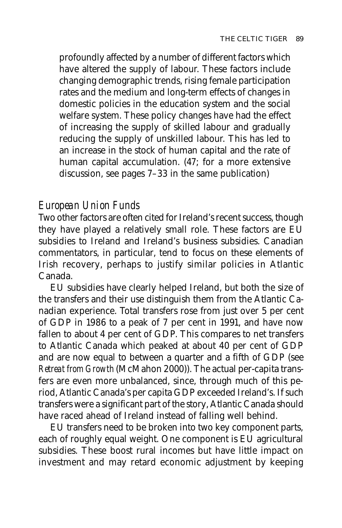profoundly affected by a number of different factors which have altered the supply of labour. These factors include changing demographic trends, rising female participation rates and the medium and long-term effects of changes in domestic policies in the education system and the social welfare system. These policy changes have had the effect of increasing the supply of skilled labour and gradually reducing the supply of unskilled labour. This has led to an increase in the stock of human capital and the rate of human capital accumulation. (47; for a more extensive discussion, see pages 7–33 in the same publication)

#### *European Union Funds*

Two other factors are often cited for Ireland's recent success, though they have played a relatively small role. These factors are EU subsidies to Ireland and Ireland's business subsidies. Canadian commentators, in particular, tend to focus on these elements of Irish recovery, perhaps to justify similar policies in Atlantic Canada.

EU subsidies have clearly helped Ireland, but both the size of the transfers and their use distinguish them from the Atlantic Canadian experience. Total transfers rose from just over 5 per cent of GDP in 1986 to a peak of 7 per cent in 1991, and have now fallen to about 4 per cent of GDP. This compares to net transfers to Atlantic Canada which peaked at about 40 per cent of GDP and are now equal to between a quarter and a fifth of GDP (see *Retreat from Growth* (McMahon 2000)). The actual per-capita transfers are even more unbalanced, since, through much of this period, Atlantic Canada's per capita GDP exceeded Ireland's. If such transfers were a significant part of the story, Atlantic Canada should have raced ahead of Ireland instead of falling well behind.

EU transfers need to be broken into two key component parts, each of roughly equal weight. One component is EU agricultural subsidies. These boost rural incomes but have little impact on investment and may retard economic adjustment by keeping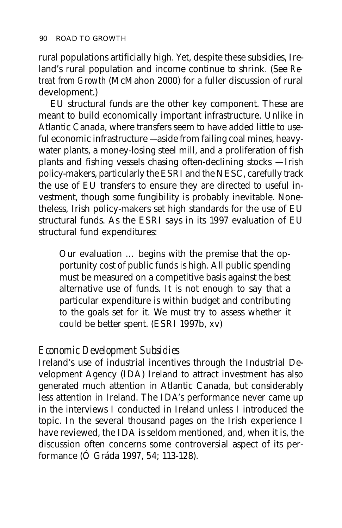rural populations artificially high. Yet, despite these subsidies, Ireland's rural population and income continue to shrink. (See *Retreat from Growth* (McMahon 2000) for a fuller discussion of rural development.)

EU structural funds are the other key component. These are meant to build economically important infrastructure. Unlike in Atlantic Canada, where transfers seem to have added little to useful economic infrastructure — aside from failing coal mines, heavywater plants, a money-losing steel mill, and a proliferation of fish plants and fishing vessels chasing often-declining stocks — Irish policy-makers, particularly the ESRI and the NESC, carefully track the use of EU transfers to ensure they are directed to useful investment, though some fungibility is probably inevitable. Nonetheless, Irish policy-makers set high standards for the use of EU structural funds. As the ESRI says in its 1997 evaluation of EU structural fund expenditures:

Our evaluation … begins with the premise that the opportunity cost of public funds is high. All public spending must be measured on a competitive basis against the best alternative use of funds. It is not enough to say that a particular expenditure is within budget and contributing to the goals set for it. We must try to assess whether it could be better spent. (ESRI 1997b, xv)

#### *Economic Development Subsidies*

Ireland's use of industrial incentives through the Industrial Development Agency (IDA) Ireland to attract investment has also generated much attention in Atlantic Canada, but considerably less attention in Ireland. The IDA's performance never came up in the interviews I conducted in Ireland unless I introduced the topic. In the several thousand pages on the Irish experience I have reviewed, the IDA is seldom mentioned, and, when it is, the discussion often concerns some controversial aspect of its performance (Ó Gráda 1997, 54; 113-128).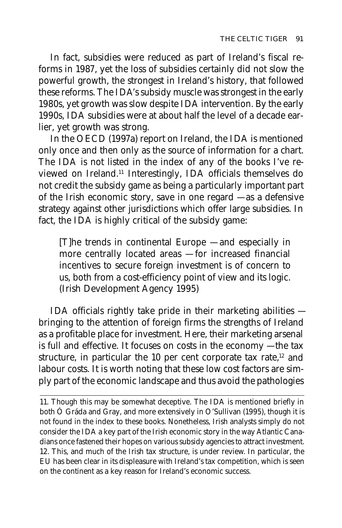In fact, subsidies were reduced as part of Ireland's fiscal reforms in 1987, yet the loss of subsidies certainly did not slow the powerful growth, the strongest in Ireland's history, that followed these reforms. The IDA's subsidy muscle was strongest in the early 1980s, yet growth was slow despite IDA intervention. By the early 1990s, IDA subsidies were at about half the level of a decade earlier, yet growth was strong.

In the OECD (1997a) report on Ireland, the IDA is mentioned only once and then only as the source of information for a chart. The IDA is not listed in the index of any of the books I've reviewed on Ireland.11 Interestingly, IDA officials themselves do not credit the subsidy game as being a particularly important part of the Irish economic story, save in one regard — as a defensive strategy against other jurisdictions which offer large subsidies. In fact, the IDA is highly critical of the subsidy game:

[T]he trends in continental Europe — and especially in more centrally located areas — for increased financial incentives to secure foreign investment is of concern to us, both from a cost-efficiency point of view and its logic. (Irish Development Agency 1995)

IDA officials rightly take pride in their marketing abilities bringing to the attention of foreign firms the strengths of Ireland as a profitable place for investment. Here, their marketing arsenal is full and effective. It focuses on costs in the economy — the tax structure, in particular the 10 per cent corporate tax rate,<sup>12</sup> and labour costs. It is worth noting that these low cost factors are simply part of the economic landscape and thus avoid the pathologies

<sup>11.</sup> Though this may be somewhat deceptive. The IDA is mentioned briefly in both Ó Gráda and Gray, and more extensively in O'Sullivan (1995), though it is not found in the index to these books. Nonetheless, Irish analysts simply do not consider the IDA a key part of the Irish economic story in the way Atlantic Canadians once fastened their hopes on various subsidy agencies to attract investment. 12. This, and much of the Irish tax structure, is under review. In particular, the EU has been clear in its displeasure with Ireland's tax competition, which is seen on the continent as a key reason for Ireland's economic success.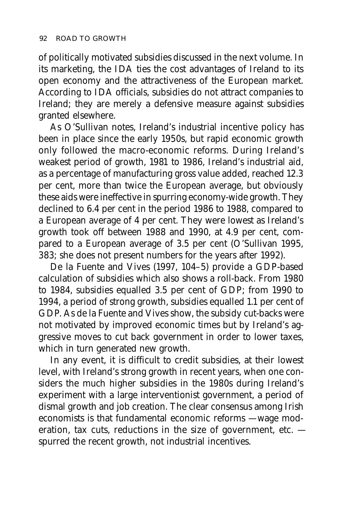of politically motivated subsidies discussed in the next volume. In its marketing, the IDA ties the cost advantages of Ireland to its open economy and the attractiveness of the European market. According to IDA officials, subsidies do not attract companies to Ireland; they are merely a defensive measure against subsidies granted elsewhere.

As O'Sullivan notes, Ireland's industrial incentive policy has been in place since the early 1950s, but rapid economic growth only followed the macro-economic reforms. During Ireland's weakest period of growth, 1981 to 1986, Ireland's industrial aid, as a percentage of manufacturing gross value added, reached 12.3 per cent, more than twice the European average, but obviously these aids were ineffective in spurring economy-wide growth. They declined to 6.4 per cent in the period 1986 to 1988, compared to a European average of 4 per cent. They were lowest as Ireland's growth took off between 1988 and 1990, at 4.9 per cent, compared to a European average of 3.5 per cent (O'Sullivan 1995, 383; she does not present numbers for the years after 1992).

De la Fuente and Vives (1997, 104–5) provide a GDP-based calculation of subsidies which also shows a roll-back. From 1980 to 1984, subsidies equalled 3.5 per cent of GDP; from 1990 to 1994, a period of strong growth, subsidies equalled 1.1 per cent of GDP. As de la Fuente and Vives show, the subsidy cut-backs were not motivated by improved economic times but by Ireland's aggressive moves to cut back government in order to lower taxes, which in turn generated new growth.

In any event, it is difficult to credit subsidies, at their lowest level, with Ireland's strong growth in recent years, when one considers the much higher subsidies in the 1980s during Ireland's experiment with a large interventionist government, a period of dismal growth and job creation. The clear consensus among Irish economists is that fundamental economic reforms — wage moderation, tax cuts, reductions in the size of government, etc. spurred the recent growth, not industrial incentives.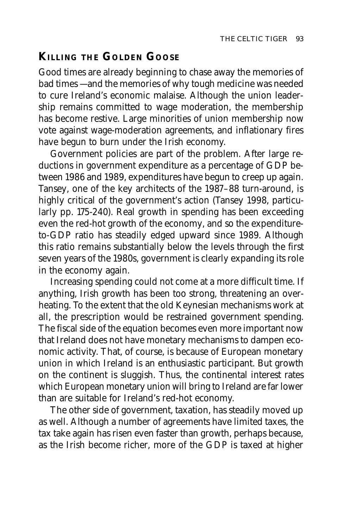# **KILLING THE GOLDEN GOOSE**

Good times are already beginning to chase away the memories of bad times — and the memories of why tough medicine was needed to cure Ireland's economic malaise. Although the union leadership remains committed to wage moderation, the membership has become restive. Large minorities of union membership now vote against wage-moderation agreements, and inflationary fires have begun to burn under the Irish economy.

Government policies are part of the problem. After large reductions in government expenditure as a percentage of GDP between 1986 and 1989, expenditures have begun to creep up again. Tansey, one of the key architects of the 1987–88 turn-around, is highly critical of the government's action (Tansey 1998, particularly pp. 175-240). Real growth in spending has been exceeding even the red-hot growth of the economy, and so the expenditureto-GDP ratio has steadily edged upward since 1989. Although this ratio remains substantially below the levels through the first seven years of the 1980s, government is clearly expanding its role in the economy again.

Increasing spending could not come at a more difficult time. If anything, Irish growth has been too strong, threatening an overheating. To the extent that the old Keynesian mechanisms work at all, the prescription would be restrained government spending. The fiscal side of the equation becomes even more important now that Ireland does not have monetary mechanisms to dampen economic activity. That, of course, is because of European monetary union in which Ireland is an enthusiastic participant. But growth on the continent is sluggish. Thus, the continental interest rates which European monetary union will bring to Ireland are far lower than are suitable for Ireland's red-hot economy.

The other side of government, taxation, has steadily moved up as well. Although a number of agreements have limited taxes, the tax take again has risen even faster than growth, perhaps because, as the Irish become richer, more of the GDP is taxed at higher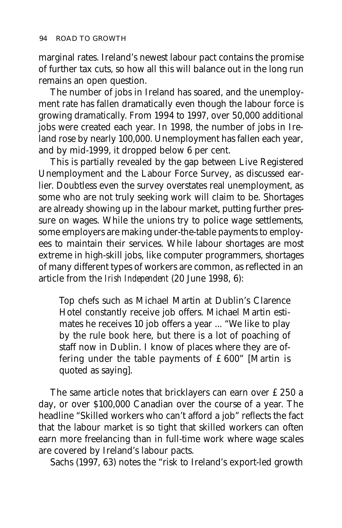marginal rates. Ireland's newest labour pact contains the promise of further tax cuts, so how all this will balance out in the long run remains an open question.

The number of jobs in Ireland has soared, and the unemployment rate has fallen dramatically even though the labour force is growing dramatically. From 1994 to 1997, over 50,000 additional jobs were created each year. In 1998, the number of jobs in Ireland rose by nearly 100,000. Unemployment has fallen each year, and by mid-1999, it dropped below 6 per cent.

This is partially revealed by the gap between Live Registered Unemployment and the Labour Force Survey, as discussed earlier. Doubtless even the survey overstates real unemployment, as some who are not truly seeking work will claim to be. Shortages are already showing up in the labour market, putting further pressure on wages. While the unions try to police wage settlements, some employers are making under-the-table payments to employees to maintain their services. While labour shortages are most extreme in high-skill jobs, like computer programmers, shortages of many different types of workers are common, as reflected in an article from the *Irish Independent* (20 June 1998, 6):

Top chefs such as Michael Martin at Dublin's Clarence Hotel constantly receive job offers. Michael Martin estimates he receives 10 job offers a year ... "We like to play by the rule book here, but there is a lot of poaching of staff now in Dublin. I know of places where they are offering under the table payments of £600" [Martin is quoted as saying].

The same article notes that bricklayers can earn over £250 a day, or over \$100,000 Canadian over the course of a year. The headline "Skilled workers who can't afford a job" reflects the fact that the labour market is so tight that skilled workers can often earn more freelancing than in full-time work where wage scales are covered by Ireland's labour pacts.

Sachs (1997, 63) notes the "risk to Ireland's export-led growth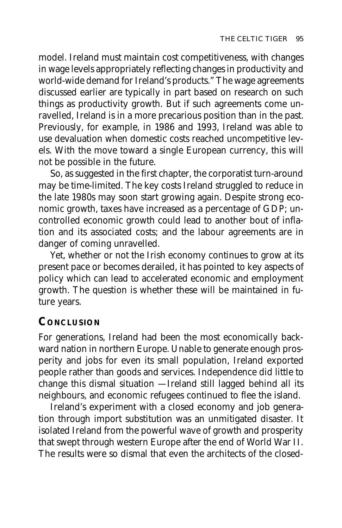model. Ireland must maintain cost competitiveness, with changes in wage levels appropriately reflecting changes in productivity and world-wide demand for Ireland's products." The wage agreements discussed earlier are typically in part based on research on such things as productivity growth. But if such agreements come unravelled, Ireland is in a more precarious position than in the past. Previously, for example, in 1986 and 1993, Ireland was able to use devaluation when domestic costs reached uncompetitive levels. With the move toward a single European currency, this will not be possible in the future.

So, as suggested in the first chapter, the corporatist turn-around may be time-limited. The key costs Ireland struggled to reduce in the late 1980s may soon start growing again. Despite strong economic growth, taxes have increased as a percentage of GDP; uncontrolled economic growth could lead to another bout of inflation and its associated costs; and the labour agreements are in danger of coming unravelled.

Yet, whether or not the Irish economy continues to grow at its present pace or becomes derailed, it has pointed to key aspects of policy which can lead to accelerated economic and employment growth. The question is whether these will be maintained in future years.

# **CONCLUSION**

For generations, Ireland had been the most economically backward nation in northern Europe. Unable to generate enough prosperity and jobs for even its small population, Ireland exported people rather than goods and services. Independence did little to change this dismal situation — Ireland still lagged behind all its neighbours, and economic refugees continued to flee the island.

Ireland's experiment with a closed economy and job generation through import substitution was an unmitigated disaster. It isolated Ireland from the powerful wave of growth and prosperity that swept through western Europe after the end of World War II. The results were so dismal that even the architects of the closed